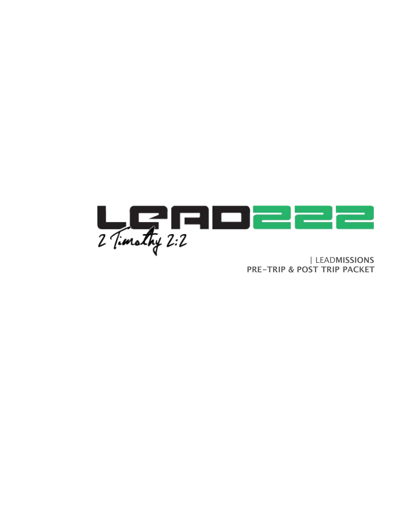

**PRE-TRIP & POST TRIP PACKET**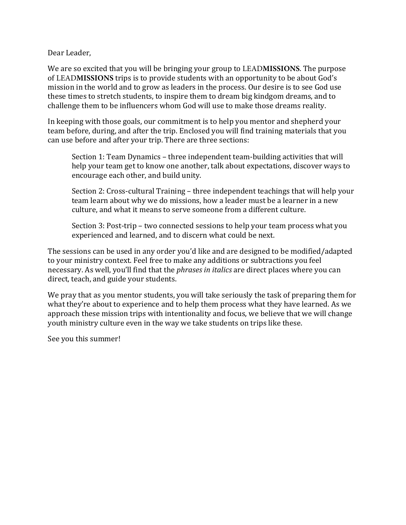Dear Leader.

We are so excited that you will be bringing your group to LEADMISSIONS. The purpose of LEADMISSIONS trips is to provide students with an opportunity to be about God's mission in the world and to grow as leaders in the process. Our desire is to see God use these times to stretch students, to inspire them to dream big kindgom dreams, and to challenge them to be influencers whom God will use to make those dreams reality.

In keeping with those goals, our commitment is to help you mentor and shepherd your team before, during, and after the trip. Enclosed you will find training materials that you can use before and after your trip. There are three sections:

Section 1: Team Dynamics - three independent team-building activities that will help your team get to know one another, talk about expectations, discover ways to encourage each other, and build unity.

Section 2: Cross-cultural Training – three independent teachings that will help your team learn about why we do missions, how a leader must be a learner in a new culture, and what it means to serve someone from a different culture.

Section 3: Post-trip - two connected sessions to help your team process what you experienced and learned, and to discern what could be next.

The sessions can be used in any order you'd like and are designed to be modified/adapted to your ministry context. Feel free to make any additions or subtractions you feel necessary. As well, you'll find that the *phrases in italics* are direct places where you can direct, teach, and guide your students.

We pray that as you mentor students, you will take seriously the task of preparing them for what they're about to experience and to help them process what they have learned. As we approach these mission trips with intentionality and focus, we believe that we will change youth ministry culture even in the way we take students on trips like these.

See you this summer!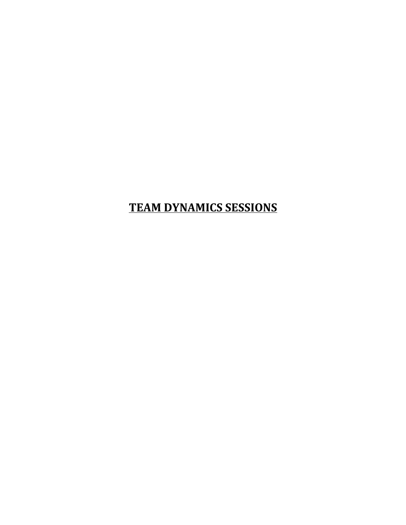# **TEAM DYNAMICS SESSIONS**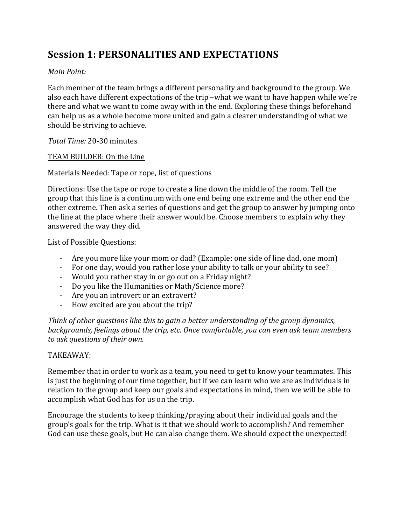## **Session 1: PERSONALITIES AND EXPECTATIONS**

### *Main Point:*

Each member of the team brings a different personality and background to the group. We also each have different expectations of the trip -what we want to have happen while we're there and what we want to come away with in the end. Exploring these things beforehand can help us as a whole become more united and gain a clearer understanding of what we should be striving to achieve.

*Total Time:* 20-30 minutes 

### TEAM BUILDER: On the Line

Materials Needed: Tape or rope, list of questions

Directions: Use the tape or rope to create a line down the middle of the room. Tell the group that this line is a continuum with one end being one extreme and the other end the other extreme. Then ask a series of questions and get the group to answer by jumping onto the line at the place where their answer would be. Choose members to explain why they answered the way they did.

List of Possible Questions:

- Are you more like your mom or dad? (Example: one side of line dad, one mom)
- For one day, would you rather lose your ability to talk or your ability to see?
- Would you rather stay in or go out on a Friday night?
- Do you like the Humanities or Math/Science more?
- Are you an introvert or an extravert?
- How excited are you about the trip?

*Think* of other questions like this to gain a better understanding of the group dynamics, *backgrounds, feelings about the trip, etc. Once comfortable, you can even ask team members to ask questions of their own.*

### TAKEAWAY:

Remember that in order to work as a team, you need to get to know your teammates. This is just the beginning of our time together, but if we can learn who we are as individuals in relation to the group and keep our goals and expectations in mind, then we will be able to accomplish what God has for us on the trip.

Encourage the students to keep thinking/praying about their individual goals and the group's goals for the trip. What is it that we should work to accomplish? And remember God can use these goals, but He can also change them. We should expect the unexpected!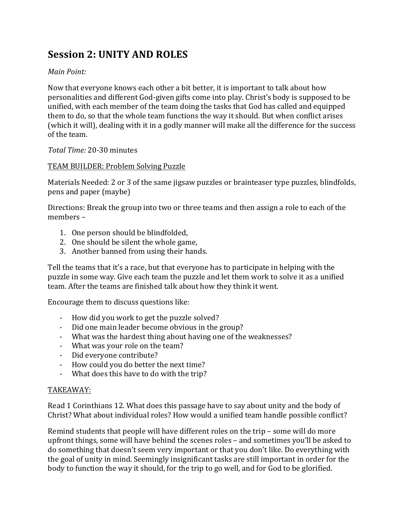## **Session 2: UNITY AND ROLES**

## *Main Point:*

Now that everyone knows each other a bit better, it is important to talk about how personalities and different God-given gifts come into play. Christ's body is supposed to be unified, with each member of the team doing the tasks that God has called and equipped them to do, so that the whole team functions the way it should. But when conflict arises (which it will), dealing with it in a godly manner will make all the difference for the success of the team.

#### *Total Time:* 20-30 minutes

### TEAM BUILDER: Problem Solving Puzzle

Materials Needed: 2 or 3 of the same jigsaw puzzles or brainteaser type puzzles, blindfolds, pens and paper (maybe)

Directions: Break the group into two or three teams and then assign a role to each of the members –

- 1. One person should be blindfolded,
- 2. One should be silent the whole game,
- 3. Another banned from using their hands.

Tell the teams that it's a race, but that everyone has to participate in helping with the puzzle in some way. Give each team the puzzle and let them work to solve it as a unified team. After the teams are finished talk about how they think it went.

Encourage them to discuss questions like:

- How did you work to get the puzzle solved?
- Did one main leader become obvious in the group?
- What was the hardest thing about having one of the weaknesses?
- What was your role on the team?
- Did everyone contribute?
- How could you do better the next time?
- What does this have to do with the trip?

### TAKEAWAY:

Read 1 Corinthians 12. What does this passage have to say about unity and the body of Christ? What about individual roles? How would a unified team handle possible conflict?

Remind students that people will have different roles on the trip – some will do more upfront things, some will have behind the scenes roles – and sometimes you'll be asked to do something that doesn't seem very important or that you don't like. Do everything with the goal of unity in mind. Seemingly insignificant tasks are still important in order for the body to function the way it should, for the trip to go well, and for God to be glorified.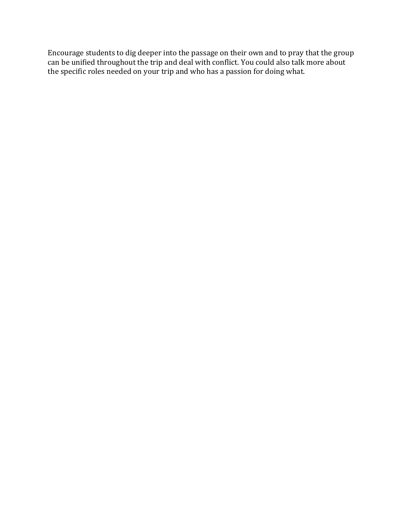Encourage students to dig deeper into the passage on their own and to pray that the group can be unified throughout the trip and deal with conflict. You could also talk more about the specific roles needed on your trip and who has a passion for doing what.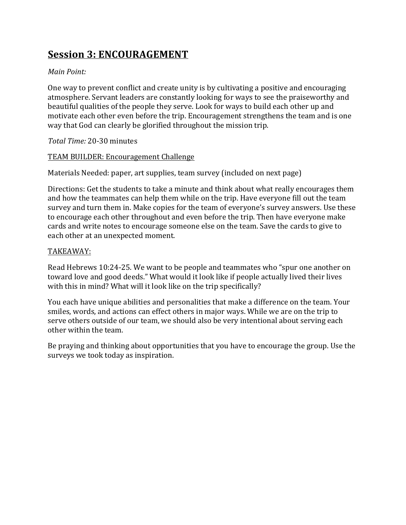## **Session 3: ENCOURAGEMENT**

## *Main Point:*

One way to prevent conflict and create unity is by cultivating a positive and encouraging atmosphere. Servant leaders are constantly looking for ways to see the praiseworthy and beautiful qualities of the people they serve. Look for ways to build each other up and motivate each other even before the trip. Encouragement strengthens the team and is one way that God can clearly be glorified throughout the mission trip.

### *Total Time:* 20-30 minutes

### TEAM BUILDER: Encouragement Challenge

Materials Needed: paper, art supplies, team survey (included on next page)

Directions: Get the students to take a minute and think about what really encourages them and how the teammates can help them while on the trip. Have everyone fill out the team survey and turn them in. Make copies for the team of everyone's survey answers. Use these to encourage each other throughout and even before the trip. Then have everyone make cards and write notes to encourage someone else on the team. Save the cards to give to each other at an unexpected moment.

## TAKEAWAY:

Read Hebrews 10:24-25. We want to be people and teammates who "spur one another on toward love and good deeds." What would it look like if people actually lived their lives with this in mind? What will it look like on the trip specifically?

You each have unique abilities and personalities that make a difference on the team. Your smiles, words, and actions can effect others in major ways. While we are on the trip to serve others outside of our team, we should also be very intentional about serving each other within the team.

Be praying and thinking about opportunities that you have to encourage the group. Use the surveys we took today as inspiration.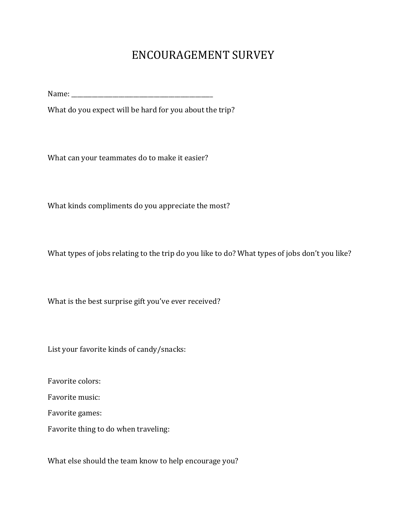## ENCOURAGEMENT SURVEY

Name:

What do you expect will be hard for you about the trip?

What can your teammates do to make it easier?

What kinds compliments do you appreciate the most?

What types of jobs relating to the trip do you like to do? What types of jobs don't you like?

What is the best surprise gift you've ever received?

List your favorite kinds of candy/snacks:

Favorite colors:

Favorite music:

Favorite games:

Favorite thing to do when traveling:

What else should the team know to help encourage you?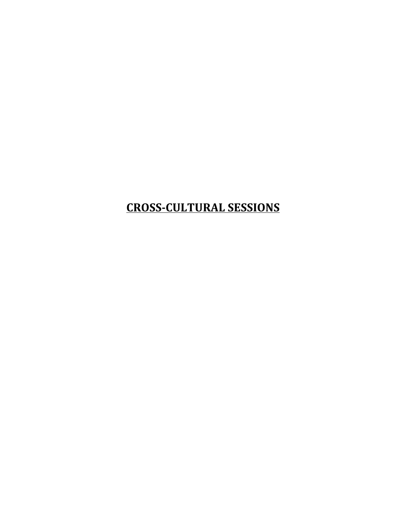# **CROSS-CULTURAL SESSIONS**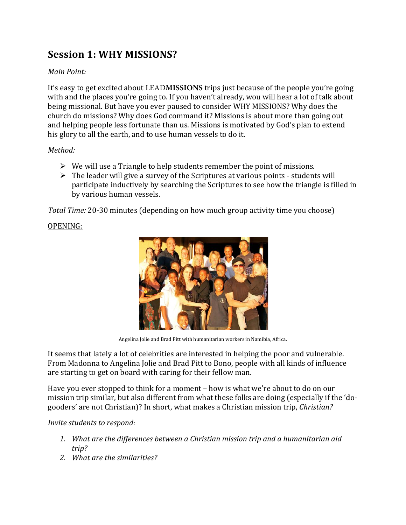## **Session 1: WHY MISSIONS?**

## *Main Point:*

It's easy to get excited about LEADMISSIONS trips just because of the people you're going with and the places you're going to. If you haven't already, wou will hear a lot of talk about being missional. But have you ever paused to consider WHY MISSIONS? Why does the church do missions? Why does God command it? Missions is about more than going out and helping people less fortunate than us. Missions is motivated by God's plan to extend his glory to all the earth, and to use human vessels to do it.

### *Method:*

- $\triangleright$  We will use a Triangle to help students remember the point of missions.
- $\triangleright$  The leader will give a survey of the Scriptures at various points students will participate inductively by searching the Scriptures to see how the triangle is filled in by various human vessels.

*Total Time:* 20-30 minutes (depending on how much group activity time you choose)

## OPENING:



Angelina Jolie and Brad Pitt with humanitarian workers in Namibia, Africa.

It seems that lately a lot of celebrities are interested in helping the poor and vulnerable. From Madonna to Angelina Jolie and Brad Pitt to Bono, people with all kinds of influence are starting to get on board with caring for their fellow man.

Have you ever stopped to think for a moment – how is what we're about to do on our mission trip similar, but also different from what these folks are doing (especially if the 'dogooders' are not Christian)? In short, what makes a Christian mission trip, *Christian?* 

## *Invite students to respond:*

- 1. What are the differences between a Christian mission trip and a humanitarian aid *trip?*
- 2. *What are the similarities?*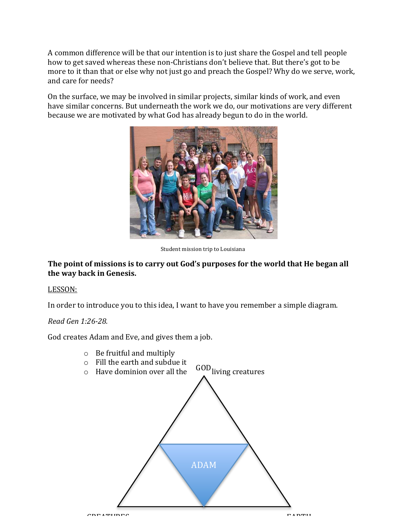A common difference will be that our intention is to just share the Gospel and tell people how to get saved whereas these non-Christians don't believe that. But there's got to be more to it than that or else why not just go and preach the Gospel? Why do we serve, work, and care for needs?

On the surface, we may be involved in similar projects, similar kinds of work, and even have similar concerns. But underneath the work we do, our motivations are very different because we are motivated by what God has already begun to do in the world.



Student mission trip to Louisiana

#### The point of missions is to carry out God's purposes for the world that He began all the way back in Genesis.

#### LESSON:

In order to introduce you to this idea, I want to have you remember a simple diagram.

#### *Read Gen 1:26-28.*

God creates Adam and Eve, and gives them a job.

- $\circ$  Be fruitful and multiply
- $\circ$  Fill the earth and subdue it
- $\circ$  Have dominion over all the GOD living creatures

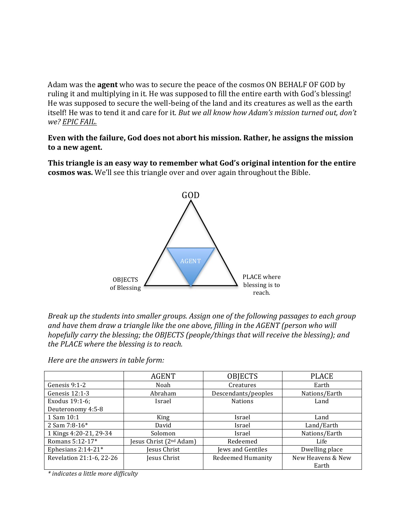Adam was the **agent** who was to secure the peace of the cosmos ON BEHALF OF GOD by ruling it and multiplying in it. He was supposed to fill the entire earth with God's blessing! He was supposed to secure the well-being of the land and its creatures as well as the earth itself! He was to tend it and care for it. But we all know how Adam's mission turned out, don't *we? EPIC FAIL.*

**Even with the failure, God does not abort his mission. Rather, he assigns the mission** to a new agent.

This triangle is an easy way to remember what God's original intention for the entire **cosmos was.** We'll see this triangle over and over again throughout the Bible.



*Break up the students into smaller groups. Assign one of the following passages to each group* and have them draw a triangle like the one above, filling in the AGENT (person who will *hopefully carry the blessing; the OBJECTS (people/things that will receive the blessing); and the PLACE where the blessing is to reach.* 

|                          | <b>AGENT</b>            | <b>OBJECTS</b>      | <b>PLACE</b>      |
|--------------------------|-------------------------|---------------------|-------------------|
| Genesis 9:1-2            | Noah                    | Creatures           | Earth             |
| Genesis $12:1-3$         | Abraham                 | Descendants/peoples | Nations/Earth     |
| Exodus 19:1-6;           | Israel                  | <b>Nations</b>      | Land              |
| Deuteronomy 4:5-8        |                         |                     |                   |
| 1 Sam 10:1               | King                    | Israel              | Land              |
| 2 Sam 7:8-16*            | David                   | Israel              | Land/Earth        |
| 1 Kings 4:20-21, 29-34   | Solomon                 | Israel              | Nations/Earth     |
| Romans 5:12-17*          | Jesus Christ (2nd Adam) | Redeemed            | Life              |
| Ephesians $2:14-21*$     | Jesus Christ            | Jews and Gentiles   | Dwelling place    |
| Revelation 21:1-6, 22-26 | Jesus Christ            | Redeemed Humanity   | New Heavens & New |
|                          |                         |                     | Earth             |

*Here are the answers in table form:* 

*\* indicates a little more difficulty*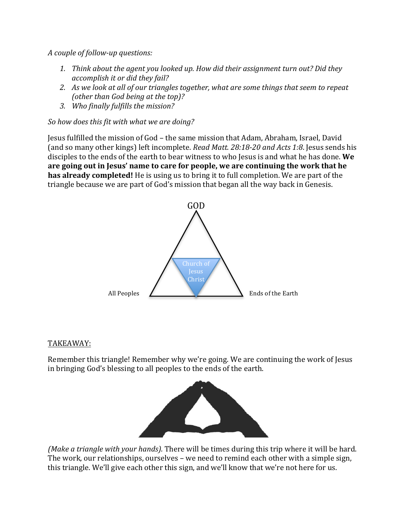*A couple of follow-up questions:*

- 1. Think about the agent you looked up. How did their assignment turn out? Did they *accomplish it or did they fail?*
- 2. As we look at all of our triangles together, what are some things that seem to repeat *(other than God being at the top)?*
- 3. *Who finally fulfills the mission?*

*So how does this fit with what we are doing?* 

Jesus fulfilled the mission of God – the same mission that Adam, Abraham, Israel, David (and so many other kings) left incomplete. *Read Matt.* 28:18-20 and Acts 1:8. Jesus sends his disciples to the ends of the earth to bear witness to who Jesus is and what he has done. We are going out in Jesus' name to care for people, we are continuing the work that he **has already completed!** He is using us to bring it to full completion. We are part of the triangle because we are part of God's mission that began all the way back in Genesis.



#### TAKEAWAY:

Remember this triangle! Remember why we're going. We are continuing the work of Jesus in bringing God's blessing to all peoples to the ends of the earth.



*(Make a triangle with your hands).* There will be times during this trip where it will be hard. The work, our relationships, ourselves – we need to remind each other with a simple sign, this triangle. We'll give each other this sign, and we'll know that we're not here for us.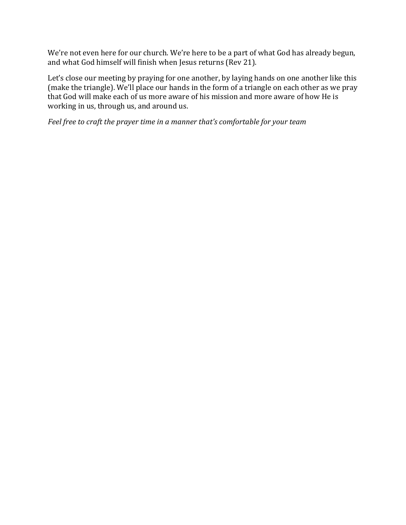We're not even here for our church. We're here to be a part of what God has already begun, and what God himself will finish when Jesus returns (Rev 21).

Let's close our meeting by praying for one another, by laying hands on one another like this (make the triangle). We'll place our hands in the form of a triangle on each other as we pray that God will make each of us more aware of his mission and more aware of how He is working in us, through us, and around us.

Feel free to craft the prayer time in a manner that's comfortable for your team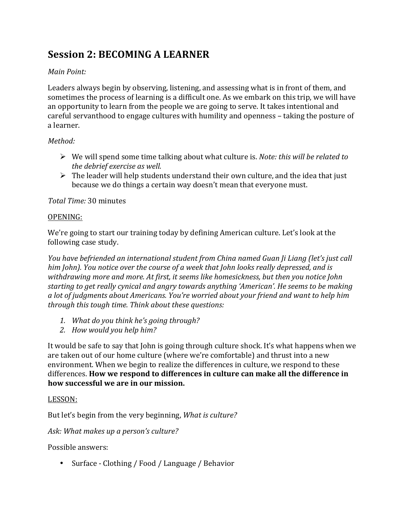## **Session 2: BECOMING A LEARNER**

## *Main Point:*

Leaders always begin by observing, listening, and assessing what is in front of them, and sometimes the process of learning is a difficult one. As we embark on this trip, we will have an opportunity to learn from the people we are going to serve. It takes intentional and careful servanthood to engage cultures with humility and openness – taking the posture of a learner. 

## *Method:*

- $\triangleright$  We will spend some time talking about what culture is. *Note: this will be related to the debrief exercise as well.*
- $\triangleright$  The leader will help students understand their own culture, and the idea that just because we do things a certain way doesn't mean that everyone must.

## *Total Time:* 30 minutes

### OPENING:

We're going to start our training today by defining American culture. Let's look at the following case study.

*You have befriended an international student from China named Guan Ji Liang (let's just call him John). You notice over the course of a week that John looks really depressed, and is* withdrawing more and more. At first, it seems like homesickness, but then you notice John starting to get really cynical and angry towards anything 'American'. He seems to be making *a* lot of judgments about Americans. You're worried about your friend and want to help him *through this tough time. Think about these questions:* 

- 1. *What do you think he's going through?*
- *2. How would you help him?*

It would be safe to say that John is going through culture shock. It's what happens when we are taken out of our home culture (where we're comfortable) and thrust into a new environment. When we begin to realize the differences in culture, we respond to these differences. **How we respond to differences in culture can make all the difference in** how successful we are in our mission.

### LESSON:

But let's begin from the very beginning, *What is culture?* 

Ask: What makes up a person's culture?

Possible answers:

• Surface - Clothing / Food / Language / Behavior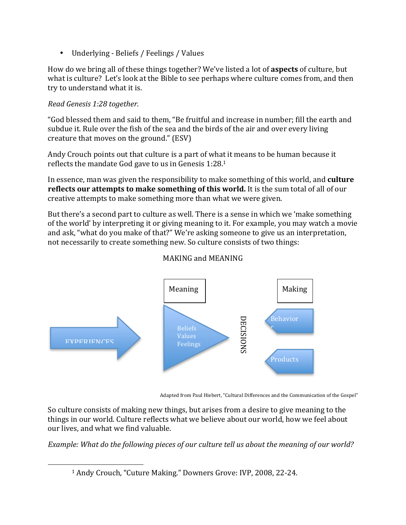• Underlying - Beliefs / Feelings / Values

How do we bring all of these things together? We've listed a lot of **aspects** of culture, but what is culture? Let's look at the Bible to see perhaps where culture comes from, and then try to understand what it is.

## *Read Genesis 1:28 together.*

"God blessed them and said to them, "Be fruitful and increase in number; fill the earth and subdue it. Rule over the fish of the sea and the birds of the air and over every living creature that moves on the ground." (ESV)

Andy Crouch points out that culture is a part of what it means to be human because it reflects the mandate God gave to us in Genesis  $1:28.1$ 

In essence, man was given the responsibility to make something of this world, and **culture reflects our attempts to make something of this world.** It is the sum total of all of our creative attempts to make something more than what we were given.

But there's a second part to culture as well. There is a sense in which we 'make something of the world' by interpreting it or giving meaning to it. For example, you may watch a movie and ask, "what do you make of that?" We're asking someone to give us an interpretation, not necessarily to create something new. So culture consists of two things:



## MAKING and MEANING

Adapted from Paul Hiebert, "Cultural Differences and the Communication of the Gospel"

So culture consists of making new things, but arises from a desire to give meaning to the things in our world. Culture reflects what we believe about our world, how we feel about our lives, and what we find valuable.

*Example: What do the following pieces of our culture tell us about the meaning of our world?* 

 <sup>1</sup> Andy Crouch, "Cuture Making." Downers Grove: IVP, 2008, 22-24.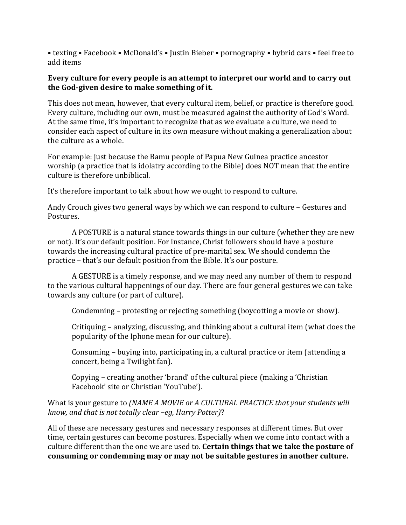• texting • Facebook • McDonald's • Justin Bieber • pornography • hybrid cars • feel free to add items

#### **Every culture for every people is an attempt to interpret our world and to carry out** the God-given desire to make something of it.

This does not mean, however, that every cultural item, belief, or practice is therefore good. Every culture, including our own, must be measured against the authority of God's Word. At the same time, it's important to recognize that as we evaluate a culture, we need to consider each aspect of culture in its own measure without making a generalization about the culture as a whole.

For example: just because the Bamu people of Papua New Guinea practice ancestor worship (a practice that is idolatry according to the Bible) does NOT mean that the entire culture is therefore unbiblical.

It's therefore important to talk about how we ought to respond to culture.

Andy Crouch gives two general ways by which we can respond to culture - Gestures and Postures.

A POSTURE is a natural stance towards things in our culture (whether they are new or not). It's our default position. For instance, Christ followers should have a posture towards the increasing cultural practice of pre-marital sex. We should condemn the practice – that's our default position from the Bible. It's our posture.

A GESTURE is a timely response, and we may need any number of them to respond to the various cultural happenings of our day. There are four general gestures we can take towards any culture (or part of culture).

Condemning – protesting or rejecting something (boycotting a movie or show).

Critiquing – analyzing, discussing, and thinking about a cultural item (what does the popularity of the Iphone mean for our culture).

Consuming – buying into, participating in, a cultural practice or item (attending a concert, being a Twilight fan).

Copying – creating another 'brand' of the cultural piece (making a 'Christian Facebook' site or Christian 'YouTube').

#### What is your gesture to *(NAME A MOVIE or A CULTURAL PRACTICE that your students will know, and that is not totally clear -eg, Harry Potter)?*

All of these are necessary gestures and necessary responses at different times. But over time, certain gestures can become postures. Especially when we come into contact with a culture different than the one we are used to. **Certain things that we take the posture of** consuming or condemning may or may not be suitable gestures in another culture.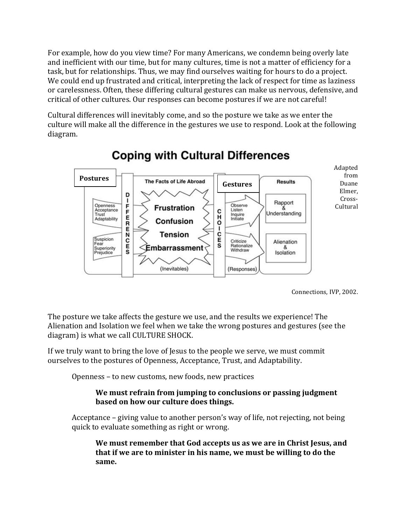For example, how do you view time? For many Americans, we condemn being overly late and inefficient with our time, but for many cultures, time is not a matter of efficiency for a task, but for relationships. Thus, we may find ourselves waiting for hours to do a project. We could end up frustrated and critical, interpreting the lack of respect for time as laziness or carelessness. Often, these differing cultural gestures can make us nervous, defensive, and critical of other cultures. Our responses can become postures if we are not careful!

Cultural differences will inevitably come, and so the posture we take as we enter the culture will make all the difference in the gestures we use to respond. Look at the following diagram.



# **Coping with Cultural Differences**

Connections, IVP, 2002.

The posture we take affects the gesture we use, and the results we experience! The Alienation and Isolation we feel when we take the wrong postures and gestures (see the diagram) is what we call CULTURE SHOCK.

If we truly want to bring the love of Jesus to the people we serve, we must commit ourselves to the postures of Openness, Acceptance, Trust, and Adaptability.

Openness – to new customs, new foods, new practices

#### We must refrain from jumping to conclusions or passing judgment **based on how our culture does things.**

Acceptance  $-$  giving value to another person's way of life, not rejecting, not being quick to evaluate something as right or wrong.

We must remember that God accepts us as we are in Christ Jesus, and **that if we are to minister in his name, we must be willing to do the same.**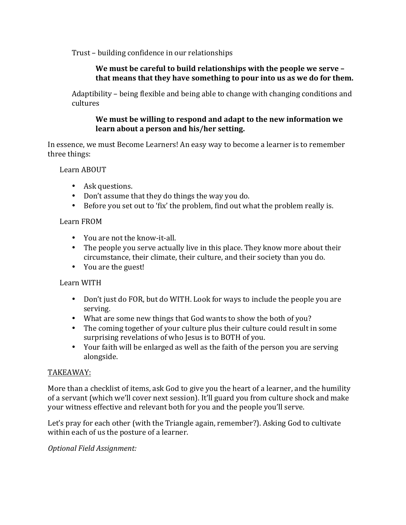Trust – building confidence in our relationships

### We must be careful to build relationships with the people we serve that means that they have something to pour into us as we do for them.

Adaptibility – being flexible and being able to change with changing conditions and cultures

#### We must be willing to respond and adapt to the new information we learn about a person and his/her setting.

In essence, we must Become Learners! An easy way to become a learner is to remember three things:

Learn ABOUT

- Ask questions.
- Don't assume that they do things the way you do.
- Before you set out to 'fix' the problem, find out what the problem really is.

#### Learn FROM

- You are not the know-it-all.
- The people you serve actually live in this place. They know more about their circumstance, their climate, their culture, and their society than you do.
- You are the guest!

### Learn WITH

- Don't just do FOR, but do WITH. Look for ways to include the people you are serving.
- What are some new things that God wants to show the both of you?
- The coming together of your culture plus their culture could result in some surprising revelations of who Jesus is to BOTH of you.
- Your faith will be enlarged as well as the faith of the person you are serving alongside.

#### TAKEAWAY:

More than a checklist of items, ask God to give you the heart of a learner, and the humility of a servant (which we'll cover next session). It'll guard you from culture shock and make your witness effective and relevant both for you and the people you'll serve.

Let's pray for each other (with the Triangle again, remember?). Asking God to cultivate within each of us the posture of a learner.

*Optional Field Assignment:*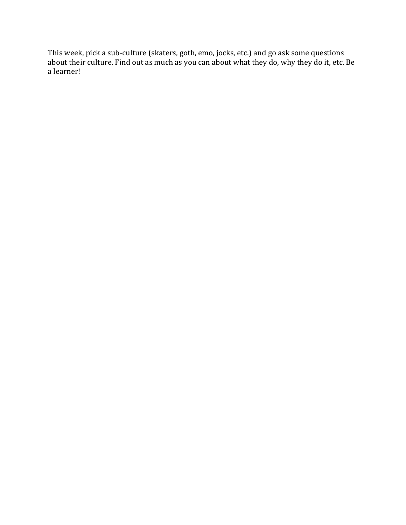This week, pick a sub-culture (skaters, goth, emo, jocks, etc.) and go ask some questions about their culture. Find out as much as you can about what they do, why they do it, etc. Be a learner!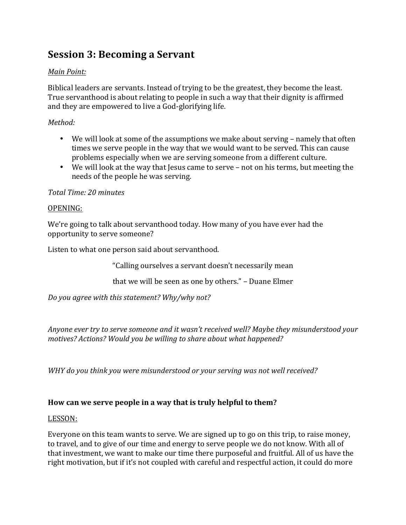## **Session 3: Becoming a Servant**

## *Main Point:*

Biblical leaders are servants. Instead of trying to be the greatest, they become the least. True servanthood is about relating to people in such a way that their dignity is affirmed and they are empowered to live a God-glorifying life.

## *Method:*

- We will look at some of the assumptions we make about serving namely that often times we serve people in the way that we would want to be served. This can cause problems especially when we are serving someone from a different culture.
- We will look at the way that Jesus came to serve not on his terms, but meeting the needs of the people he was serving.

### *Total Time: 20 minutes*

### OPENING:

We're going to talk about servanthood today. How many of you have ever had the opportunity to serve someone?

Listen to what one person said about servanthood.

"Calling ourselves a servant doesn't necessarily mean

that we will be seen as one by others." - Duane Elmer

Do you agree with this statement? Why/why not?

Anyone ever try to serve someone and it wasn't received well? Maybe they misunderstood your *motives?* Actions? Would you be willing to share about what happened?

WHY do you think you were misunderstood or your serving was not well received?

### How can we serve people in a way that is truly helpful to them?

#### LESSON:

Everyone on this team wants to serve. We are signed up to go on this trip, to raise money, to travel, and to give of our time and energy to serve people we do not know. With all of that investment, we want to make our time there purposeful and fruitful. All of us have the right motivation, but if it's not coupled with careful and respectful action, it could do more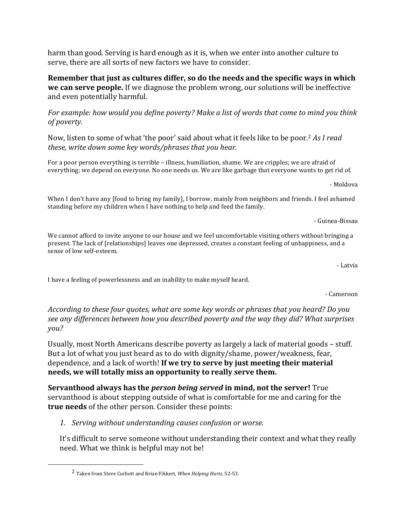harm than good. Serving is hard enough as it is, when we enter into another culture to serve, there are all sorts of new factors we have to consider.

**Remember that just as cultures differ, so do the needs and the specific ways in which we can serve people.** If we diagnose the problem wrong, our solutions will be ineffective and even potentially harmful.

*For example: how would you define poverty? Make a list of words that come to mind you think of poverty.*

Now, listen to some of what 'the poor' said about what it feels like to be poor.<sup>2</sup> As I read these, write down some key words/phrases that you hear.

For a poor person everything is terrible – illness, humiliation, shame. We are cripples; we are afraid of everything; we depend on everyone. No one needs us. We are like garbage that everyone wants to get rid of.

- Moldova

When I don't have any [food to bring my family], I borrow, mainly from neighbors and friends. I feel ashamed standing before my children when I have nothing to help and feed the family.

- Guinea-Bissau

We cannot afford to invite anyone to our house and we feel uncomfortable visiting others without bringing a present. The lack of [relationships] leaves one depressed, creates a constant feeling of unhappiness, and a sense of low self-esteem.

- Latvia

I have a feeling of powerlessness and an inability to make myself heard.

- Cameroon

According to these four quotes, what are some key words or phrases that you heard? Do you see any differences between how you described poverty and the way they did? What surprises *you?*

Usually, most North Americans describe poverty as largely a lack of material goods – stuff. But a lot of what you just heard as to do with dignity/shame, power/weakness, fear, dependence, and a lack of worth! **If we try to serve by just meeting their material** needs, we will totally miss an opportunity to really serve them.

**Servanthood always has the** *person being served* **in mind, not the server! True** servanthood is about stepping outside of what is comfortable for me and caring for the **true needs** of the other person. Consider these points:

1. *Serving without understanding causes confusion or worse.* 

It's difficult to serve someone without understanding their context and what they really need. What we think is helpful may not be!

 

<sup>&</sup>lt;sup>2</sup> Taken from Steve Corbett and Brian Fikkert, *When Helping Hurts*, 52-53.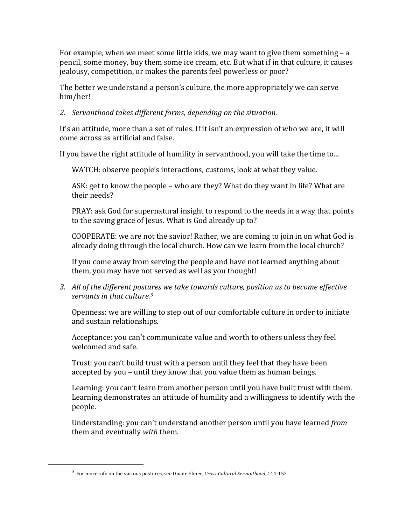For example, when we meet some little kids, we may want to give them something  $- a$ pencil, some money, buy them some ice cream, etc. But what if in that culture, it causes jealousy, competition, or makes the parents feel powerless or poor?

The better we understand a person's culture, the more appropriately we can serve him/her!

### 2. *Servanthood takes different forms, depending on the situation.*

It's an attitude, more than a set of rules. If it isn't an expression of who we are, it will come across as artificial and false.

If you have the right attitude of humility in servanthood, you will take the time to...

WATCH: observe people's interactions, customs, look at what they value.

ASK: get to know the people - who are they? What do they want in life? What are their needs?

PRAY: ask God for supernatural insight to respond to the needs in a way that points to the saving grace of Jesus. What is God already up to?

COOPERATE: we are not the savior! Rather, we are coming to join in on what God is already doing through the local church. How can we learn from the local church?

If you come away from serving the people and have not learned anything about them, you may have not served as well as you thought!

3. All of the different postures we take towards culture, position us to become effective servants in that culture.<sup>3</sup>

Openness: we are willing to step out of our comfortable culture in order to initiate and sustain relationships.

Acceptance: you can't communicate value and worth to others unless they feel welcomed and safe.

Trust: you can't build trust with a person until they feel that they have been accepted by you – until they know that you value them as human beings.

Learning: you can't learn from another person until you have built trust with them. Learning demonstrates an attitude of humility and a willingness to identify with the people.

Understanding: you can't understand another person until you have learned *from* them and eventually *with* them.

 

<sup>&</sup>lt;sup>3</sup> For more info on the various postures, see Duane Elmer, *Cross-Cultural Servanthood*, 144-152.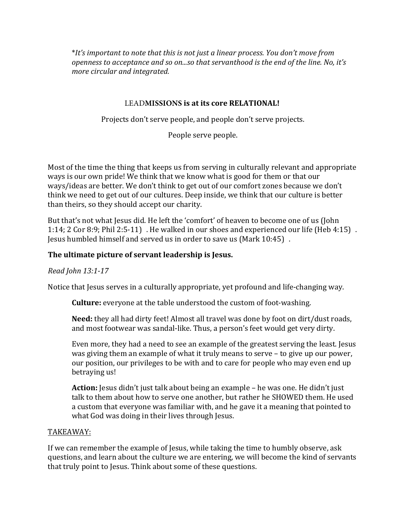\**It's* important to note that this is not just a linear process. You don't move from *openness to acceptance and so on...so that servanthood is the end of the line. No, it's more circular and integrated.* 

#### **LEADMISSIONS** is at its core **RELATIONAL!**

Projects don't serve people, and people don't serve projects.

People serve people.

Most of the time the thing that keeps us from serving in culturally relevant and appropriate ways is our own pride! We think that we know what is good for them or that our ways/ideas are better. We don't think to get out of our comfort zones because we don't think we need to get out of our cultures. Deep inside, we think that our culture is better than theirs, so they should accept our charity.

But that's not what Jesus did. He left the 'comfort' of heaven to become one of us (John 1:14; 2 Cor 8:9; Phil 2:5-11) . He walked in our shoes and experienced our life (Heb 4:15). Jesus humbled himself and served us in order to save us (Mark 10:45).

#### The ultimate picture of servant leadership is Jesus.

#### *Read John 13:1-17*

Notice that Jesus serves in a culturally appropriate, yet profound and life-changing way.

**Culture:** everyone at the table understood the custom of foot-washing.

**Need:** they all had dirty feet! Almost all travel was done by foot on dirt/dust roads, and most footwear was sandal-like. Thus, a person's feet would get very dirty.

Even more, they had a need to see an example of the greatest serving the least. Jesus was giving them an example of what it truly means to serve  $-$  to give up our power, our position, our privileges to be with and to care for people who may even end up betraying us!

**Action:** Jesus didn't just talk about being an example – he was one. He didn't just talk to them about how to serve one another, but rather he SHOWED them. He used a custom that everyone was familiar with, and he gave it a meaning that pointed to what God was doing in their lives through Jesus.

#### TAKEAWAY:

If we can remember the example of Jesus, while taking the time to humbly observe, ask questions, and learn about the culture we are entering, we will become the kind of servants that truly point to Jesus. Think about some of these questions.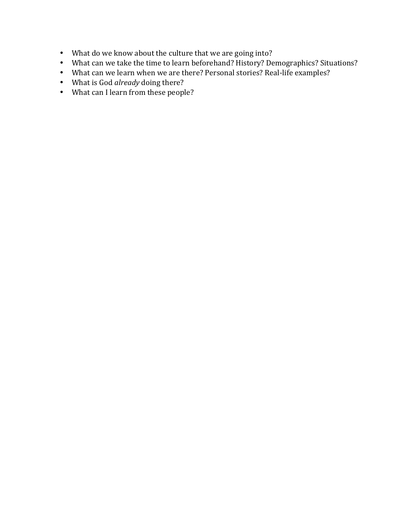- What do we know about the culture that we are going into?
- What can we take the time to learn beforehand? History? Demographics? Situations?
- What can we learn when we are there? Personal stories? Real-life examples?
- What is God already doing there?
- What can I learn from these people?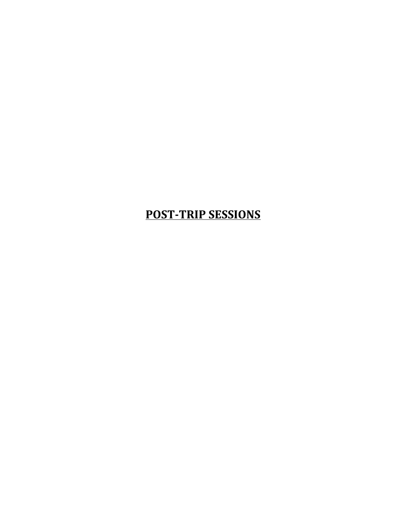# **POST-TRIP SESSIONS**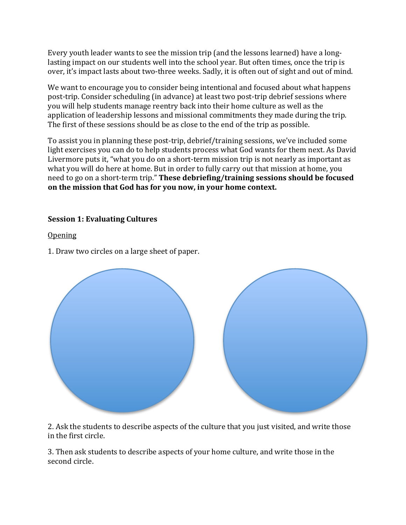Every youth leader wants to see the mission trip (and the lessons learned) have a longlasting impact on our students well into the school year. But often times, once the trip is over, it's impact lasts about two-three weeks. Sadly, it is often out of sight and out of mind.

We want to encourage you to consider being intentional and focused about what happens post-trip. Consider scheduling (in advance) at least two post-trip debrief sessions where you will help students manage reentry back into their home culture as well as the application of leadership lessons and missional commitments they made during the trip. The first of these sessions should be as close to the end of the trip as possible.

To assist you in planning these post-trip, debrief/training sessions, we've included some light exercises you can do to help students process what God wants for them next. As David Livermore puts it, "what you do on a short-term mission trip is not nearly as important as what you will do here at home. But in order to fully carry out that mission at home, you need to go on a short-term trip." These debriefing/training sessions should be focused on the mission that God has for you now, in your home context.

### **Session 1: Evaluating Cultures**

**Opening** 

1. Draw two circles on a large sheet of paper.



2. Ask the students to describe aspects of the culture that you just visited, and write those in the first circle.

3. Then ask students to describe aspects of your home culture, and write those in the second circle.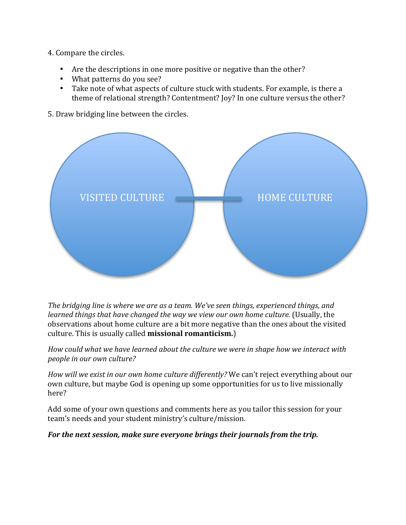- 4. Compare the circles.
	- Are the descriptions in one more positive or negative than the other?
	- What patterns do you see?
	- Take note of what aspects of culture stuck with students. For example, is there a theme of relational strength? Contentment? Joy? In one culture versus the other?
- 5. Draw bridging line between the circles.



The bridging line is where we are as a team. We've seen things, experienced things, and *learned things that have changed the way we view our own home culture.* (Usually, the observations about home culture are a bit more negative than the ones about the visited culture. This is usually called **missional romanticism.**)

How could what we have learned about the culture we were in shape how we interact with *people in our own culture?* 

*How* will we exist in our own home culture differently? We can't reject everything about our own culture, but maybe God is opening up some opportunities for us to live missionally here?

Add some of your own questions and comments here as you tailor this session for your team's needs and your student ministry's culture/mission.

For the next session, make sure everyone brings their journals from the trip.